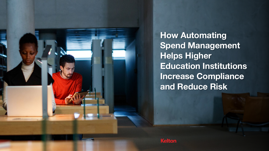

**How Automating Spend Management Helps Higher Education Institutions Increase Compliance and Reduce Risk**

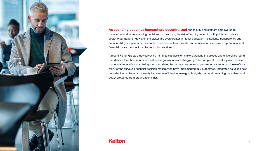

**As spending becomes increasingly decentralized** and faculty and staff are empowered to make more and more spending decisions on their own, the risk of fraud goes up in both public and private sector organizations. However, the stakes are even greater in higher education institutions. Transparency and accountability are paramount as public disclosure of fraud, waste, and abuse can have severe reputational and financial consequences for colleges and universities.

A recent Kelton Global study surveying 151 financial decision makers working in colleges and universities found that despite their best efforts, educational organizations are struggling to be compliant. The study also revealed that error-prone, disconnected systems, outdated technology, and manual processes are impeding these efforts. Many of the surveyed financial decision makers who have implemented fully automated, integrated solutions now consider their college or university to be more efficient in managing budgets, better at remaining compliant, and better protected from organizational risk.

#### **Kelton**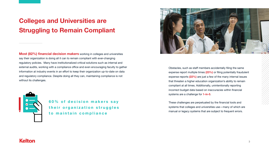## **Colleges and Universities are Struggling to Remain Compliant**

**Most (82%) financial decision makers** working in colleges and universities say their organization is doing all it can to remain compliant with ever-changing regulatory policies. Many have institutionalized critical solutions such as internal and external audits, working with a compliance office and even encouraging faculty to gather information at industry events in an effort to keep their organization up-to-date on data and regulatory compliance. Despite doing all they can, maintaining compliance is not without its challenges.



**60% of decision makers say** their organization struggles **to maintain compliance** 



Obstacles, such as staff members accidentally filing the same expense report multiple times **(23%)** or filing potentially fraudulent expense reports **(22%)** are just a few of the many internal issues that threaten a higher education organization's ability to remain compliant at all times. Additionally, unintentionally reporting incorrect budget data based on inaccuracies within financial systems are a challenge for **1-in-5**.

These challenges are perpetuated by the financial tools and systems that colleges and universities use—many of which are manual or legacy systems that are subject to frequent errors.

#### **Kelton**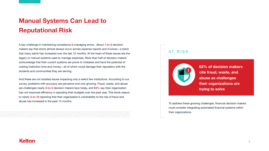## **Manual Systems Can Lead to Reputational Risk**

And these are not isolated issues impacting only a select few institutions. According to our survey, problems with accuracy are pervasive and only growing. Fraud, waste, and abuse are challenges nearly **2-in-3** decision makers face today, and **63%** say their organization has not improved efficiency in spending their budgets over the past year. This lends reason to nearly **3-in-10** reporting that their organization's vulnerability to the risk of fraud and abuse has increased in the past 12 months.<br>To address these growing challenges, financial decision makers

A key challenge in maintaining compliance is managing errors. About **1-in-3** decision makers say that errors almost always occur across expense reports and invoices—a trend that many admit has increased over the last 12 months. At the heart of these issues are the legacy or manual systems used to manage expenses. More than half of decision makers acknowledge that their current systems are prone to mistakes and have the potential of costing institution time and money—all of which could damage their reputation with the students and communities they are serving.

> must consider integrating automated financial systems within their organizations.

#### **Kelton**



#### AT RISK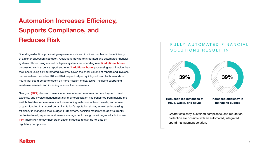## **Automation Increases Efficiency, Supports Compliance, and Reduces Risk**

Spending extra time processing expense reports and invoices can hinder the efficiency of a higher education institution. A solution: moving to integrated and automated financial systems. Those using manual or legacy systems are spending over **5 additional hours** processing each expense report and over **2 additional hours** processing each invoice than their peers using fully automated systems. Given the sheer volume of reports and invoices processed each month—284 and 344 respectively—it quickly adds up to thousands of hours that could be better spent on more mission-critical tasks, including supporting academic research and investing in school improvements.

#### FULLY AUTOMATED FINANCIAL SOLUTIONS RESULT IN...

Nearly all **(98%)** decision makers who have adopted a more automated system travel, expense, and invoice management say their organization has benefitted from making the switch. Notable improvements include reducing instances of fraud, waste, and abuse of grant funding that would put an institution's reputation at risk, as well as increasing efficiency in managing their budget. Furthermore, decision makers who don't currently centralize travel, expense, and invoice management through one integrated solution are **14%** more likely to say their organization struggles to stay up-to-date on regulatory compliance.

Greater efficiency, sustained compliance, and reputation protection are possible with an automated, integrated spend management solution.

#### **Kelton**

**Reduced filed instances of fraud, waste, and abuse**





**Increased efficiency in managing budget**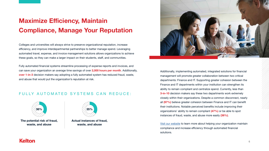## **Maximize Efficiency, Maintain Compliance, Manage Your Reputation**

Colleges and universities will always strive to preserve organizational reputation, increase efficiency, and improve interdepartmental partnerships to better manage spend. Leveraging automated travel, expense, and invoice management solutions allows organizations to achieve these goals, so they can make a larger impact on their students, staff, and communities.

Fully automated financial systems streamline processing of expense reports and invoices, and can save your organization an average time savings of over **2,000 hours per month**. Additionally, **over 1-in-3** decision makers say adopting a fully automated system has reduced fraud, waste, and abuse that would put the organization's reputation at risk.

Additionally, implementing automated, integrated solutions for financial management will promote greater collaboration between two critical departments: Finance and IT. Supporting greater cohesion between the Finance and IT departments within your institution can strengthen its ability to remain compliant and centralize spend. Currently, less than **3-in-10** decision makers say these two departments work extremely closely within their organizations. Despite a common disconnect, nearly all **(97%)** believe greater cohesion between Finance and IT can benefit their institutions. Notable perceived benefits include improving their organizations' ability to remain compliant **(47%)** or be able to spot instances of fraud, waste, and abuse more easily **(36%)**.

[Visit our website](https://www.concur.com/en-us/public-sector-compliance-audit) to learn more about helping your organization maintain compliance and increase efficiency through automated financial solutions.

#### **Kelton**



**The potential risk of fraud, waste, and abuse**



**Actual instances of fraud, waste, and abuse**



#### FULLY AUTOMATED SYSTEMS CAN REDUCE: